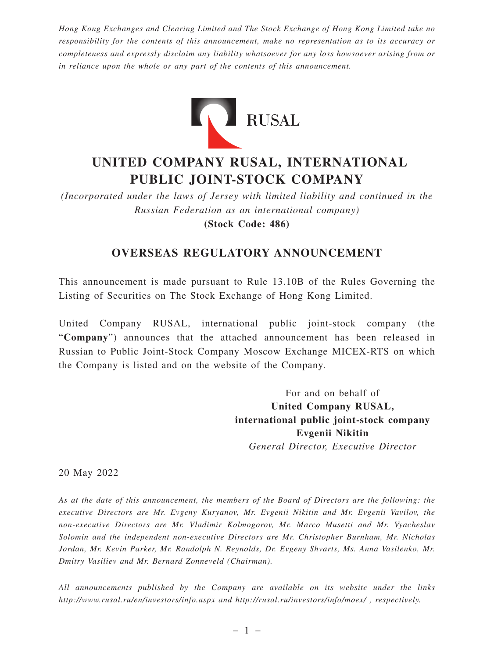*Hong Kong Exchanges and Clearing Limited and The Stock Exchange of Hong Kong Limited take no responsibility for the contents of this announcement, make no representation as to its accuracy or completeness and expressly disclaim any liability whatsoever for any loss howsoever arising from or in reliance upon the whole or any part of the contents of this announcement.*



# **UNITED COMPANY RUSAL, INTERNATIONAL PUBLIC JOINT-STOCK COMPANY**

*(Incorporated under the laws of Jersey with limited liability and continued in the Russian Federation as an international company)*

**(Stock Code: 486)**

## **OVERSEAS REGULATORY ANNOUNCEMENT**

This announcement is made pursuant to Rule 13.10B of the Rules Governing the Listing of Securities on The Stock Exchange of Hong Kong Limited.

United Company RUSAL, international public joint-stock company (the "**Company**") announces that the attached announcement has been released in Russian to Public Joint-Stock Company Moscow Exchange MICEX-RTS on which the Company is listed and on the website of the Company.

> For and on behalf of **United Company RUSAL, international public joint-stock company Evgenii Nikitin** *General Director, Executive Director*

20 May 2022

*As at the date of this announcement, the members of the Board of Directors are the following: the executive Directors are Mr. Evgeny Kuryanov, Mr. Evgenii Nikitin and Mr. Evgenii Vavilov, the non-executive Directors are Mr. Vladimir Kolmogorov, Mr. Marco Musetti and Mr. Vyacheslav Solomin and the independent non-executive Directors are Mr. Christopher Burnham, Mr. Nicholas Jordan, Mr. Kevin Parker, Mr. Randolph N. Reynolds, Dr. Evgeny Shvarts, Ms. Anna Vasilenko, Mr. Dmitry Vasiliev and Mr. Bernard Zonneveld (Chairman).*

*All announcements published by the Company are available on its website under the links http://www.rusal.ru/en/investors/info.aspx and http://rusal.ru/investors/info/moex/ , respectively.*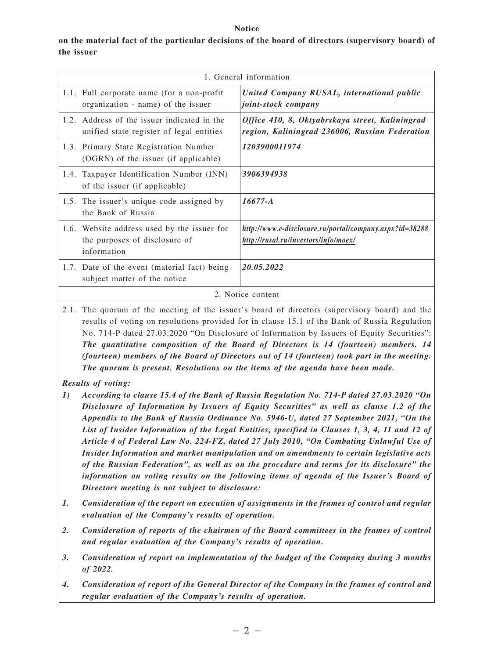#### **Notice**

**on the material fact of the particular decisions of the board of directors (supervisory board) of the issuer**

| 1. General information |                                                                                             |                                                                                                   |  |  |
|------------------------|---------------------------------------------------------------------------------------------|---------------------------------------------------------------------------------------------------|--|--|
|                        | 1.1. Full corporate name (for a non-profit)<br>organization - name) of the issuer           | United Company RUSAL, international public<br>joint-stock company                                 |  |  |
|                        | 1.2. Address of the issuer indicated in the<br>unified state register of legal entities     | Office 410, 8, Oktyabrskaya street, Kaliningrad<br>region, Kaliningrad 236006, Russian Federation |  |  |
|                        | 1.3. Primary State Registration Number<br>(OGRN) of the issuer (if applicable)              | 1203900011974                                                                                     |  |  |
|                        | 1.4. Taxpayer Identification Number (INN)<br>of the issuer (if applicable)                  | 3906394938                                                                                        |  |  |
|                        | 1.5. The issuer's unique code assigned by<br>the Bank of Russia                             | $16677 - A$                                                                                       |  |  |
|                        | 1.6. Website address used by the issuer for<br>the purposes of disclosure of<br>information | http://www.e-disclosure.ru/portal/company.aspx?id=38288<br>http://rusal.ru/investors/info/moex/   |  |  |
|                        | 1.7. Date of the event (material fact) being<br>subject matter of the notice                | 20.05.2022                                                                                        |  |  |
| 2. Notice content      |                                                                                             |                                                                                                   |  |  |

2.1. The quorum of the meeting of the issuer's board of directors (supervisory board) and the results of voting on resolutions provided for in clause 15.1 of the Bank of Russia Regulation No. 714-P dated 27.03.2020 "On Disclosure of Information by Issuers of Equity Securities": *The quantitative composition of the Board of Directors is 14 (fourteen) members. 14 (fourteen) members of the Board of Directors out of 14 (fourteen) took part in the meeting. The quorum is present. Resolutions on the items of the agenda have been made.*

### *Results of voting:*

- *1) According to clause 15.4 of the Bank of Russia Regulation No. 714-P dated 27.03.2020 "On Disclosure of Information by Issuers of Equity Securities" as well as clause 1.2 of the Appendix to the Bank of Russia Ordinance No. 5946-U, dated 27 September 2021, "On the List of Insider Information of the Legal Entities, specified in Clauses 1, 3, 4, 11 and 12 of Article 4 of Federal Law No. 224-FZ, dated 27 July 2010, "On Combating Unlawful Use of Insider Information and market manipulation and on amendments to certain legislative acts of the Russian Federation", as well as on the procedure and terms for its disclosure" the information on voting results on the following items of agenda of the Issuer 's Board of Directors meeting is not subject to disclosure:*
- *1. Consideration of the report on execution of assignments in the frames of control and regular evaluation of the Company's results of operation.*
- *2. Consideration of reports of the chairmen of the Board committees in the frames of control and regular evaluation of the Company's results of operation.*
- *3. Consideration of report on implementation of the budget of the Company during 3 months of 2022.*
- *4. Consideration of report of the General Director of the Company in the frames of control and regular evaluation of the Company's results of operation.*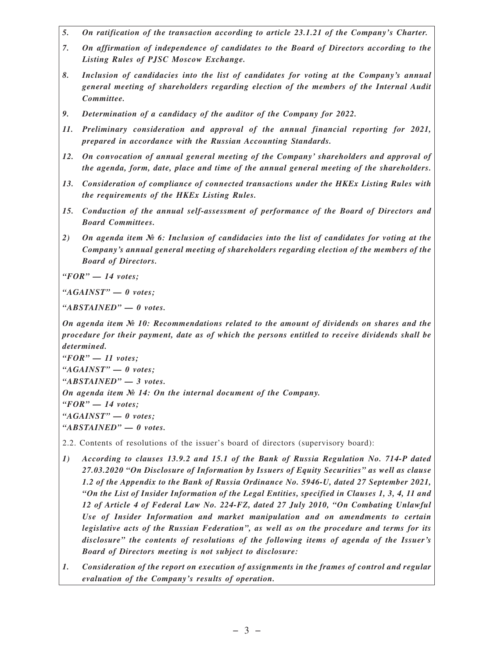- *5. On ratification of the transaction according to article 23.1.21 of the Company's Charter.*
- *7. On affirmation of independence of candidates to the Board of Directors according to the Listing Rules of PJSC Moscow Exchange.*
- *8. Inclusion of candidacies into the list of candidates for voting at the Company's annual general meeting of shareholders regarding election of the members of the Internal Audit Committee.*
- *9. Determination of a candidacy of the auditor of the Company for 2022.*
- *11. Preliminary consideration and approval of the annual financial reporting for 2021, prepared in accordance with the Russian Accounting Standards.*
- *12. On convocation of annual general meeting of the Company' shareholders and approval of the agenda, form, date, place and time of the annual general meeting of the shareholders.*
- *13. Consideration of compliance of connected transactions under the HKEx Listing Rules with the requirements of the HKEx Listing Rules.*
- *15. Conduction of the annual self-assessment of performance of the Board of Directors and Board Committees.*
- *2) On agenda item № 6: Inclusion of candidacies into the list of candidates for voting at the Company's annual general meeting of shareholders regarding election of the members of the Board of Directors.*

*"FOR" — 14 votes;*

*"AGAINST" — 0 votes;*

*"ABSTAINED" — 0 votes.*

*On agenda item № 10: Recommendations related to the amount of dividends on shares and the procedure for their payment, date as of which the persons entitled to receive dividends shall be determined.*

*"FOR" — 11 votes; "AGAINST" — 0 votes; "ABSTAINED" — 3 votes. On agenda item № 14: On the internal document of the Company. "FOR" — 14 votes; "AGAINST" — 0 votes; "ABSTAINED" — 0 votes.*

2.2. Contents of resolutions of the issuer's board of directors (supervisory board):

- *1) According to clauses 13.9.2 and 15.1 of the Bank of Russia Regulation No. 714-P dated 27.03.2020 "On Disclosure of Information by Issuers of Equity Securities" as well as clause 1.2 of the Appendix to the Bank of Russia Ordinance No. 5946-U, dated 27 September 2021, "On the List of Insider Information of the Legal Entities, specified in Clauses 1, 3, 4, 11 and 12 of Article 4 of Federal Law No. 224-FZ, dated 27 July 2010, "On Combating Unlawful Use of Insider Information and market manipulation and on amendments to certain legislative acts of the Russian Federation", as well as on the procedure and terms for its disclosure" the contents of resolutions of the following items of agenda of the Issuer 's Board of Directors meeting is not subject to disclosure:*
- *1. Consideration of the report on execution of assignments in the frames of control and regular evaluation of the Company's results of operation.*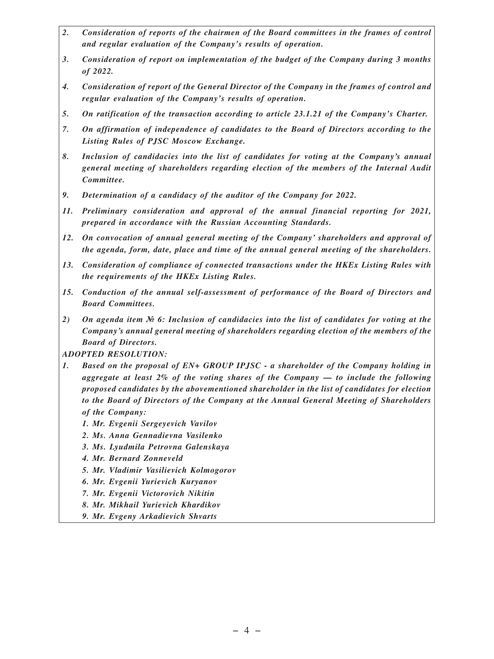- *2. Consideration of reports of the chairmen of the Board committees in the frames of control and regular evaluation of the Company's results of operation.*
- *3. Consideration of report on implementation of the budget of the Company during 3 months of 2022.*
- *4. Consideration of report of the General Director of the Company in the frames of control and regular evaluation of the Company's results of operation.*
- *5. On ratification of the transaction according to article 23.1.21 of the Company's Charter.*
- *7. On affirmation of independence of candidates to the Board of Directors according to the Listing Rules of PJSC Moscow Exchange.*
- *8. Inclusion of candidacies into the list of candidates for voting at the Company's annual general meeting of shareholders regarding election of the members of the Internal Audit Committee.*
- *9. Determination of a candidacy of the auditor of the Company for 2022.*
- *11. Preliminary consideration and approval of the annual financial reporting for 2021, prepared in accordance with the Russian Accounting Standards.*
- *12. On convocation of annual general meeting of the Company' shareholders and approval of the agenda, form, date, place and time of the annual general meeting of the shareholders.*
- *13. Consideration of compliance of connected transactions under the HKEx Listing Rules with the requirements of the HKEx Listing Rules.*
- *15. Conduction of the annual self-assessment of performance of the Board of Directors and Board Committees.*
- *2) On agenda item № 6: Inclusion of candidacies into the list of candidates for voting at the Company's annual general meeting of shareholders regarding election of the members of the Board of Directors.*

*ADOPTED RESOLUTION:*

- *1. Based on the proposal of EN+ GROUP IPJSC a shareholder of the Company holding in aggregate at least 2% of the voting shares of the Company — to include the following proposed candidates by the abovementioned shareholder in the list of candidates for election to the Board of Directors of the Company at the Annual General Meeting of Shareholders of the Company:*
	- *1. Mr. Evgenii Sergeyevich Vavilov*
	- *2. Ms. Anna Gennadievna Vasilenko*
	- *3. Ms. Lyudmila Petrovna Galenskaya*
	- *4. Mr. Bernard Zonneveld*
	- *5. Mr. Vladimir Vasilievich Kolmogorov*
	- *6. Mr. Evgenii Yurievich Kuryanov*
	- *7. Mr. Evgenii Victorovich Nikitin*
	- *8. Mr. Mikhail Yurievich Khardikov*
	- *9. Mr. Evgeny Arkadievich Shvarts*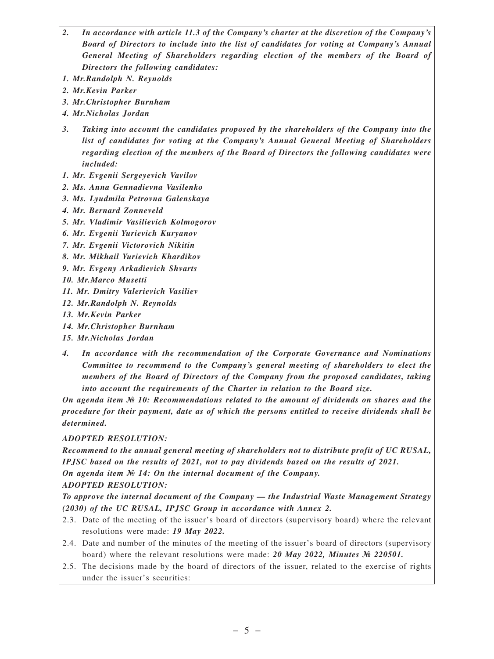- *2. In accordance with article 11.3 of the Company's charter at the discretion of the Company's Board of Directors to include into the list of candidates for voting at Company's Annual General Meeting of Shareholders regarding election of the members of the Board of Directors the following candidates:*
- *1. Mr.Randolph N. Reynolds*
- *2. Mr.Kevin Parker*
- *3. Mr.Christopher Burnham*
- *4. Mr.Nicholas Jordan*
- *3. Taking into account the candidates proposed by the shareholders of the Company into the list of candidates for voting at the Company's Annual General Meeting of Shareholders regarding election of the members of the Board of Directors the following candidates were included:*
- *1. Mr. Evgenii Sergeyevich Vavilov*
- *2. Ms. Anna Gennadievna Vasilenko*
- *3. Ms. Lyudmila Petrovna Galenskaya*
- *4. Mr. Bernard Zonneveld*
- *5. Mr. Vladimir Vasilievich Kolmogorov*
- *6. Mr. Evgenii Yurievich Kuryanov*
- *7. Mr. Evgenii Victorovich Nikitin*
- *8. Mr. Mikhail Yurievich Khardikov*
- *9. Mr. Evgeny Arkadievich Shvarts*
- *10. Mr.Marco Musetti*
- *11. Mr. Dmitry Valerievich Vasiliev*
- *12. Mr.Randolph N. Reynolds*
- *13. Mr.Kevin Parker*
- *14. Mr.Christopher Burnham*
- *15. Mr.Nicholas Jordan*
- *4. In accordance with the recommendation of the Corporate Governance and Nominations Committee to recommend to the Company's general meeting of shareholders to elect the members of the Board of Directors of the Company from the proposed candidates, taking into account the requirements of the Charter in relation to the Board size.*

*On agenda item № 10: Recommendations related to the amount of dividends on shares and the procedure for their payment, date as of which the persons entitled to receive dividends shall be determined.*

#### *ADOPTED RESOLUTION:*

*Recommend to the annual general meeting of shareholders not to distribute profit of UC RUSAL, IPJSC based on the results of 2021, not to pay dividends based on the results of 2021. On agenda item № 14: On the internal document of the Company.*

### *ADOPTED RESOLUTION:*

*To approve the internal document of the Company — the Industrial Waste Management Strategy (2030) of the UC RUSAL, IPJSC Group in accordance with Annex 2.*

- 2.3. Date of the meeting of the issuer's board of directors (supervisory board) where the relevant resolutions were made: *19 May 2022.*
- 2.4. Date and number of the minutes of the meeting of the issuer's board of directors (supervisory board) where the relevant resolutions were made: *20 May 2022, Minutes № 220501.*
- 2.5. The decisions made by the board of directors of the issuer, related to the exercise of rights under the issuer's securities: